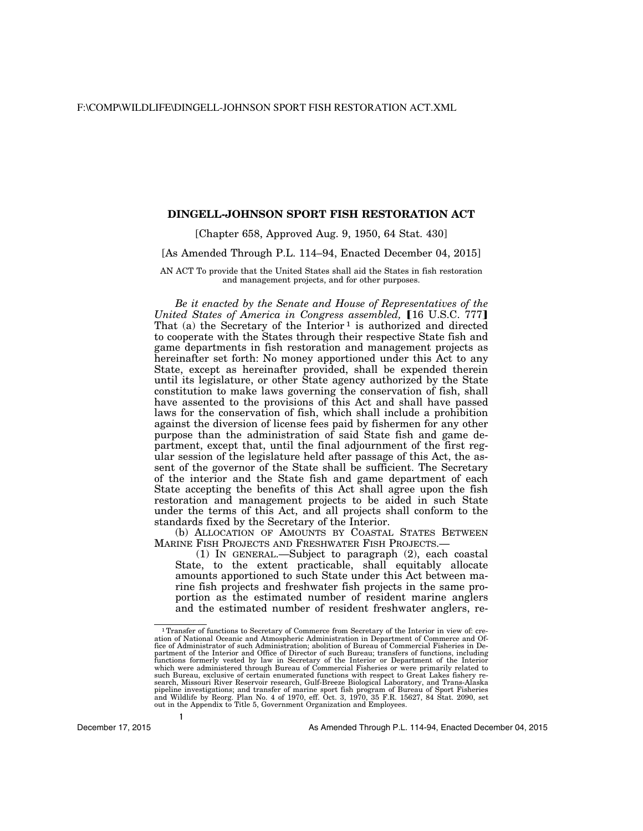## **DINGELL-JOHNSON SPORT FISH RESTORATION ACT**

[Chapter 658, Approved Aug. 9, 1950, 64 Stat. 430]

[As Amended Through P.L. 114–94, Enacted December 04, 2015]

AN ACT To provide that the United States shall aid the States in fish restoration and management projects, and for other purposes.

*Be it enacted by the Senate and House of Representatives of the United States of America in Congress assembled,* [16 U.S.C. 777] That (a) the Secretary of the Interior<sup>1</sup> is authorized and directed to cooperate with the States through their respective State fish and game departments in fish restoration and management projects as hereinafter set forth: No money apportioned under this Act to any State, except as hereinafter provided, shall be expended therein until its legislature, or other State agency authorized by the State constitution to make laws governing the conservation of fish, shall have assented to the provisions of this Act and shall have passed laws for the conservation of fish, which shall include a prohibition against the diversion of license fees paid by fishermen for any other purpose than the administration of said State fish and game department, except that, until the final adjournment of the first regular session of the legislature held after passage of this Act, the assent of the governor of the State shall be sufficient. The Secretary of the interior and the State fish and game department of each State accepting the benefits of this Act shall agree upon the fish restoration and management projects to be aided in such State under the terms of this Act, and all projects shall conform to the standards fixed by the Secretary of the Interior.

(b) ALLOCATION OF AMOUNTS BY COASTAL STATES BETWEEN MARINE FISH PROJECTS AND FRESHWATER FISH PROJECTS.—

(1) IN GENERAL.—Subject to paragraph (2), each coastal State, to the extent practicable, shall equitably allocate amounts apportioned to such State under this Act between marine fish projects and freshwater fish projects in the same proportion as the estimated number of resident marine anglers and the estimated number of resident freshwater anglers, re-

**1** 

<sup>1</sup>Transfer of functions to Secretary of Commerce from Secretary of the Interior in view of: creation of National Oceanic and Atmospheric Administration in Department of Commerce and Of-fice of Administrator of such Administration; abolition of Bureau of Commercial Fisheries in Department of the Interior and Office of Director of such Bureau; transfers of functions, including functions formerly vested by law in Secretary of the Interior or Department of the Interior which were administered through Bureau of Commercial Fisheries or were primarily related to such Bureau, exclusive of certain enumerated functions with respect to Great Lakes fishery research, Missouri River Reservoir research, Gulf-Breeze Biological Laboratory, and Trans-Alaska<br>pipeline investigations; and transfer of marine sport fish program of Bureau of Sport Fisheries<br>and Wildlife by Reorg. Plan No. out in the Appendix to Title 5, Government Organization and Employees.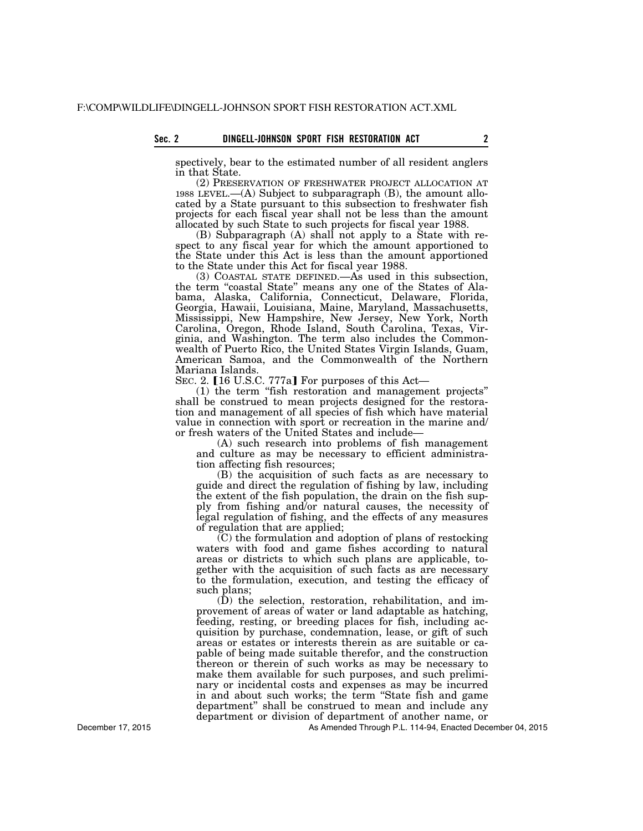spectively, bear to the estimated number of all resident anglers in that State.

(2) PRESERVATION OF FRESHWATER PROJECT ALLOCATION AT 1988 LEVEL,— $(A)$  Subject to subparagraph  $(B)$ , the amount allocated by a State pursuant to this subsection to freshwater fish projects for each fiscal year shall not be less than the amount allocated by such State to such projects for fiscal year 1988.

(B) Subparagraph (A) shall not apply to a State with respect to any fiscal year for which the amount apportioned to the State under this Act is less than the amount apportioned to the State under this Act for fiscal year 1988.

(3) COASTAL STATE DEFINED.—As used in this subsection, the term "coastal State" means any one of the States of Alabama, Alaska, California, Connecticut, Delaware, Florida, Georgia, Hawaii, Louisiana, Maine, Maryland, Massachusetts, Mississippi, New Hampshire, New Jersey, New York, North Carolina, Oregon, Rhode Island, South Carolina, Texas, Virginia, and Washington. The term also includes the Commonwealth of Puerto Rico, the United States Virgin Islands, Guam, American Samoa, and the Commonwealth of the Northern Mariana Islands.

SEC. 2.  $[16 \text{ U.S.C. } 777 \text{a}]$  For purposes of this Act—

(1) the term ''fish restoration and management projects'' shall be construed to mean projects designed for the restoration and management of all species of fish which have material value in connection with sport or recreation in the marine and/ or fresh waters of the United States and include—

(A) such research into problems of fish management and culture as may be necessary to efficient administration affecting fish resources;

(B) the acquisition of such facts as are necessary to guide and direct the regulation of fishing by law, including the extent of the fish population, the drain on the fish supply from fishing and/or natural causes, the necessity of legal regulation of fishing, and the effects of any measures of regulation that are applied;

 $(C)$  the formulation and adoption of plans of restocking waters with food and game fishes according to natural areas or districts to which such plans are applicable, together with the acquisition of such facts as are necessary to the formulation, execution, and testing the efficacy of such plans;

(D) the selection, restoration, rehabilitation, and improvement of areas of water or land adaptable as hatching, feeding, resting, or breeding places for fish, including acquisition by purchase, condemnation, lease, or gift of such areas or estates or interests therein as are suitable or capable of being made suitable therefor, and the construction thereon or therein of such works as may be necessary to make them available for such purposes, and such preliminary or incidental costs and expenses as may be incurred in and about such works; the term ''State fish and game department'' shall be construed to mean and include any department or division of department of another name, or

As Amended Through P.L. 114-94, Enacted December 04, 2015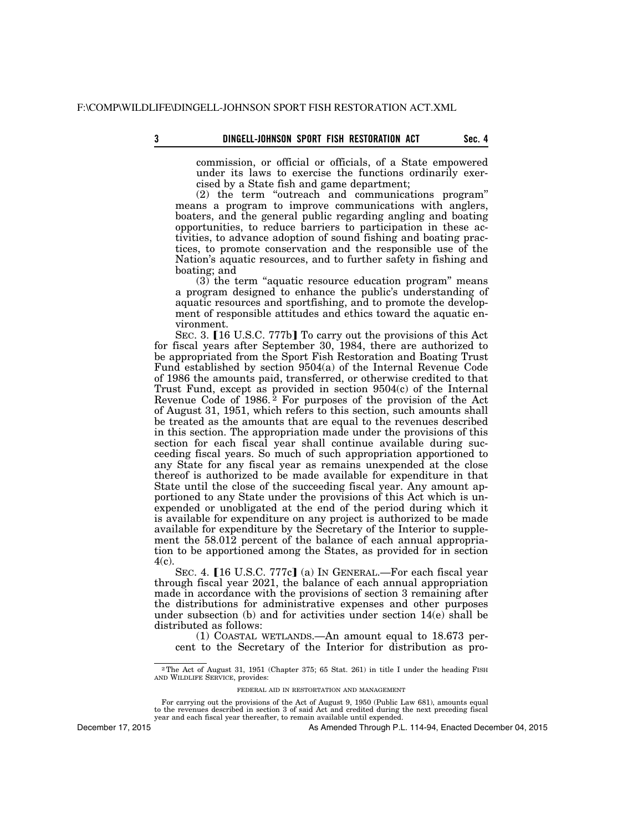commission, or official or officials, of a State empowered under its laws to exercise the functions ordinarily exercised by a State fish and game department;

(2) the term ''outreach and communications program'' means a program to improve communications with anglers, boaters, and the general public regarding angling and boating opportunities, to reduce barriers to participation in these activities, to advance adoption of sound fishing and boating practices, to promote conservation and the responsible use of the Nation's aquatic resources, and to further safety in fishing and boating; and

(3) the term ''aquatic resource education program'' means a program designed to enhance the public's understanding of aquatic resources and sportfishing, and to promote the development of responsible attitudes and ethics toward the aquatic environment.

SEC. 3.  $[16 \text{ U.S.C. } 777 \text{ b}]$  To carry out the provisions of this Act for fiscal years after September 30, 1984, there are authorized to be appropriated from the Sport Fish Restoration and Boating Trust Fund established by section 9504(a) of the Internal Revenue Code of 1986 the amounts paid, transferred, or otherwise credited to that Trust Fund, except as provided in section 9504(c) of the Internal Revenue Code of 1986.<sup>2</sup> For purposes of the provision of the Act of August 31, 1951, which refers to this section, such amounts shall be treated as the amounts that are equal to the revenues described in this section. The appropriation made under the provisions of this section for each fiscal year shall continue available during succeeding fiscal years. So much of such appropriation apportioned to any State for any fiscal year as remains unexpended at the close thereof is authorized to be made available for expenditure in that State until the close of the succeeding fiscal year. Any amount apportioned to any State under the provisions of this Act which is unexpended or unobligated at the end of the period during which it is available for expenditure on any project is authorized to be made available for expenditure by the Secretary of the Interior to supplement the 58.012 percent of the balance of each annual appropriation to be apportioned among the States, as provided for in section 4(c).

SEC. 4. [16 U.S.C. 777c] (a) IN GENERAL.—For each fiscal year through fiscal year 2021, the balance of each annual appropriation made in accordance with the provisions of section 3 remaining after the distributions for administrative expenses and other purposes under subsection (b) and for activities under section 14(e) shall be distributed as follows:

(1) COASTAL WETLANDS.—An amount equal to 18.673 percent to the Secretary of the Interior for distribution as pro-

December 17, 2015

<sup>2</sup>The Act of August 31, 1951 (Chapter 375; 65 Stat. 261) in title I under the heading FISH AND WILDLIFE SERVICE, provides:

FEDERAL AID IN RESTORTATION AND MANAGEMENT

For carrying out the provisions of the Act of August 9, 1950 (Public Law 681), amounts equal to the revenues described in section 3 of said Act and credited during the next preceding fiscal year and each fiscal year thereafter, to remain available until expended.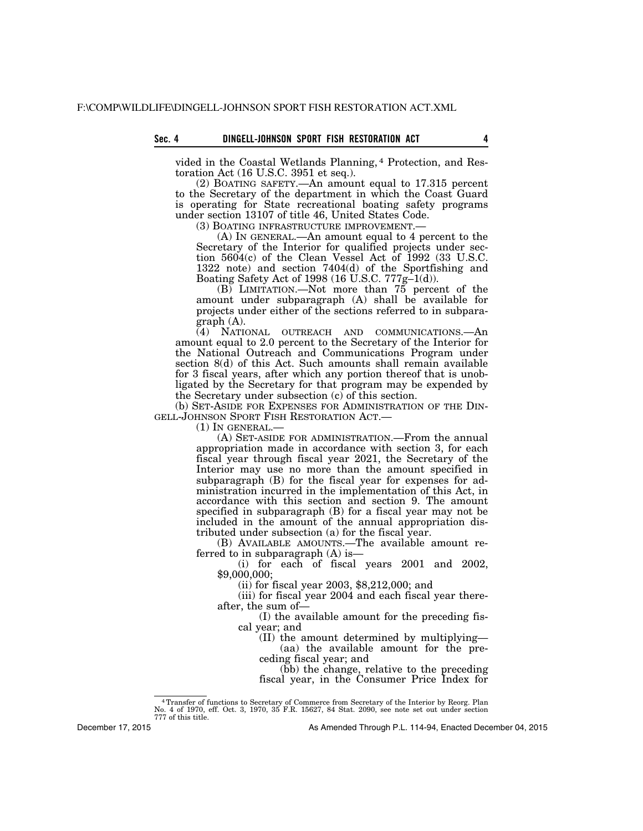vided in the Coastal Wetlands Planning, 4 Protection, and Restoration Act (16 U.S.C. 3951 et seq.).

(2) BOATING SAFETY.—An amount equal to 17.315 percent to the Secretary of the department in which the Coast Guard is operating for State recreational boating safety programs under section 13107 of title 46, United States Code.

(3) BOATING INFRASTRUCTURE IMPROVEMENT.—

(A) IN GENERAL.—An amount equal to 4 percent to the Secretary of the Interior for qualified projects under section 5604(c) of the Clean Vessel Act of 1992 (33 U.S.C. 1322 note) and section 7404(d) of the Sportfishing and Boating Safety Act of 1998 (16 U.S.C. 777g–1(d)).

(B) LIMITATION.—Not more than 75 percent of the amount under subparagraph (A) shall be available for projects under either of the sections referred to in subparagraph (A).

(4) NATIONAL OUTREACH AND COMMUNICATIONS.—An amount equal to 2.0 percent to the Secretary of the Interior for the National Outreach and Communications Program under section 8(d) of this Act. Such amounts shall remain available for 3 fiscal years, after which any portion thereof that is unobligated by the Secretary for that program may be expended by the Secretary under subsection (c) of this section.

(b) SET-ASIDE FOR EXPENSES FOR ADMINISTRATION OF THE DIN-GELL-JOHNSON SPORT FISH RESTORATION ACT.—

(1) IN GENERAL.—

(A) SET-ASIDE FOR ADMINISTRATION.—From the annual appropriation made in accordance with section 3, for each fiscal year through fiscal year 2021, the Secretary of the Interior may use no more than the amount specified in subparagraph (B) for the fiscal year for expenses for administration incurred in the implementation of this Act, in accordance with this section and section 9. The amount specified in subparagraph (B) for a fiscal year may not be included in the amount of the annual appropriation distributed under subsection (a) for the fiscal year.

(B) AVAILABLE AMOUNTS.—The available amount referred to in subparagraph (A) is—

(i) for each of fiscal years 2001 and 2002, \$9,000,000;

(ii) for fiscal year 2003, \$8,212,000; and

(iii) for fiscal year 2004 and each fiscal year thereafter, the sum of—

(I) the available amount for the preceding fiscal year; and

(II) the amount determined by multiplying—

(aa) the available amount for the preceding fiscal year; and

(bb) the change, relative to the preceding fiscal year, in the Consumer Price Index for

December 17, 2015

<sup>4</sup>Transfer of functions to Secretary of Commerce from Secretary of the Interior by Reorg. Plan No. 4 of 1970, eff. Oct. 3, 1970, 35 F.R. 15627, 84 Stat. 2090, see note set out under section 777 of this title.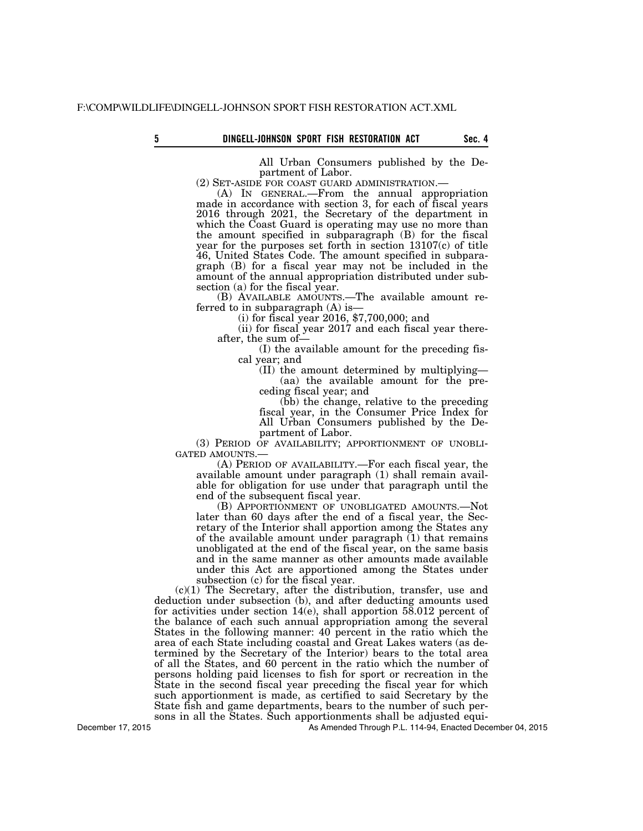All Urban Consumers published by the Department of Labor.<br>(2) SET-ASIDE FOR COAST GUARD ADMINISTRATION.

(2) SET-ASIDE FOR COAST GUARD ADMINISTRATION.— (A) IN GENERAL.—From the annual appropriation made in accordance with section 3, for each of fiscal years 2016 through 2021, the Secretary of the department in which the Coast Guard is operating may use no more than the amount specified in subparagraph (B) for the fiscal year for the purposes set forth in section 13107(c) of title 46, United States Code. The amount specified in subparagraph (B) for a fiscal year may not be included in the amount of the annual appropriation distributed under subsection (a) for the fiscal year.

(B) AVAILABLE AMOUNTS.—The available amount referred to in subparagraph  $(A)$  is—

(i) for fiscal year 2016,  $$7,700,000$ ; and

(ii) for fiscal year 2017 and each fiscal year thereafter, the sum of—

(I) the available amount for the preceding fiscal year; and

(II) the amount determined by multiplying— (aa) the available amount for the preceding fiscal year; and

(bb) the change, relative to the preceding fiscal year, in the Consumer Price Index for All Urban Consumers published by the Department of Labor.

(3) PERIOD OF AVAILABILITY; APPORTIONMENT OF UNOBLI-GATED AMOUNTS.—

(A) PERIOD OF AVAILABILITY.—For each fiscal year, the available amount under paragraph (1) shall remain available for obligation for use under that paragraph until the end of the subsequent fiscal year.

(B) APPORTIONMENT OF UNOBLIGATED AMOUNTS.—Not later than 60 days after the end of a fiscal year, the Secretary of the Interior shall apportion among the States any of the available amount under paragraph  $(1)$  that remains unobligated at the end of the fiscal year, on the same basis and in the same manner as other amounts made available under this Act are apportioned among the States under subsection (c) for the fiscal year.

(c)(1) The Secretary, after the distribution, transfer, use and deduction under subsection (b), and after deducting amounts used for activities under section 14(e), shall apportion 58.012 percent of the balance of each such annual appropriation among the several States in the following manner: 40 percent in the ratio which the area of each State including coastal and Great Lakes waters (as determined by the Secretary of the Interior) bears to the total area of all the States, and 60 percent in the ratio which the number of persons holding paid licenses to fish for sport or recreation in the State in the second fiscal year preceding the fiscal year for which such apportionment is made, as certified to said Secretary by the State fish and game departments, bears to the number of such persons in all the States. Such apportionments shall be adjusted equi-

December 17, 2015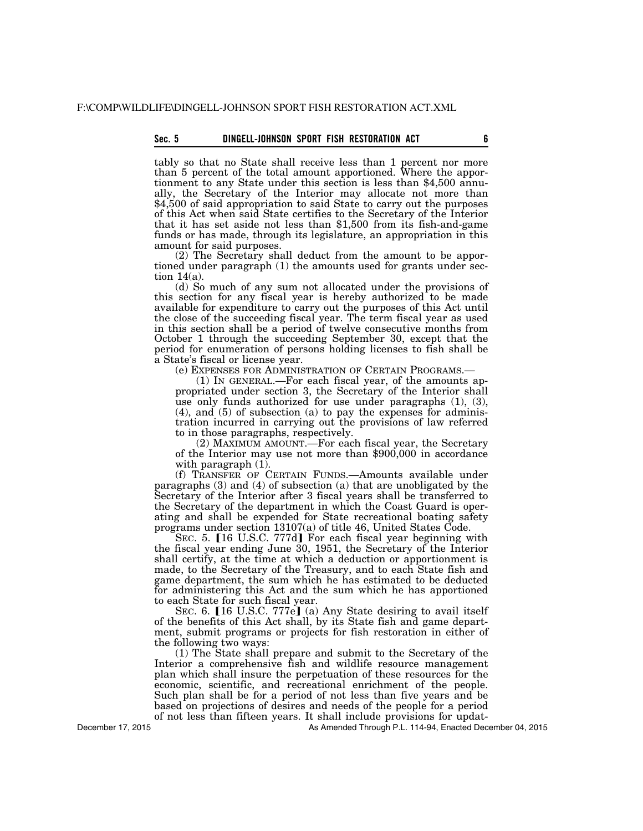## **Sec. 5 DINGELL-JOHNSON SPORT FISH RESTORATION ACT 6**

tably so that no State shall receive less than 1 percent nor more than 5 percent of the total amount apportioned. Where the apportionment to any State under this section is less than \$4,500 annually, the Secretary of the Interior may allocate not more than \$4,500 of said appropriation to said State to carry out the purposes of this Act when said State certifies to the Secretary of the Interior that it has set aside not less than \$1,500 from its fish-and-game funds or has made, through its legislature, an appropriation in this amount for said purposes.

(2) The Secretary shall deduct from the amount to be apportioned under paragraph (1) the amounts used for grants under section 14(a).

(d) So much of any sum not allocated under the provisions of this section for any fiscal year is hereby authorized to be made available for expenditure to carry out the purposes of this Act until the close of the succeeding fiscal year. The term fiscal year as used in this section shall be a period of twelve consecutive months from October 1 through the succeeding September 30, except that the period for enumeration of persons holding licenses to fish shall be a State's fiscal or license year.

 $(1)$  In GENERAL.—For each fiscal year, of the amounts appropriated under section 3, the Secretary of the Interior shall use only funds authorized for use under paragraphs  $(1)$ ,  $(3)$ , (4), and (5) of subsection (a) to pay the expenses for administration incurred in carrying out the provisions of law referred to in those paragraphs, respectively.

(2) MAXIMUM AMOUNT.—For each fiscal year, the Secretary of the Interior may use not more than \$900,000 in accordance with paragraph (1).

(f) TRANSFER OF CERTAIN FUNDS.—Amounts available under paragraphs (3) and (4) of subsection (a) that are unobligated by the Secretary of the Interior after 3 fiscal years shall be transferred to the Secretary of the department in which the Coast Guard is operating and shall be expended for State recreational boating safety programs under section 13107(a) of title 46, United States Code.<br>SEC. 5. [16 U.S.C. 777d] For each fiscal year beginning with

the fiscal year ending June 30, 1951, the Secretary of the Interior shall certify, at the time at which a deduction or apportionment is made, to the Secretary of the Treasury, and to each State fish and game department, the sum which he has estimated to be deducted for administering this Act and the sum which he has apportioned to each State for such fiscal year.

SEC. 6.  $[16 \text{ U.S.C. } 777 \text{ e}]$  (a) Any State desiring to avail itself of the benefits of this Act shall, by its State fish and game department, submit programs or projects for fish restoration in either of the following two ways:

(1) The State shall prepare and submit to the Secretary of the Interior a comprehensive fish and wildlife resource management plan which shall insure the perpetuation of these resources for the economic, scientific, and recreational enrichment of the people. Such plan shall be for a period of not less than five years and be based on projections of desires and needs of the people for a period of not less than fifteen years. It shall include provisions for updat-

December 17, 2015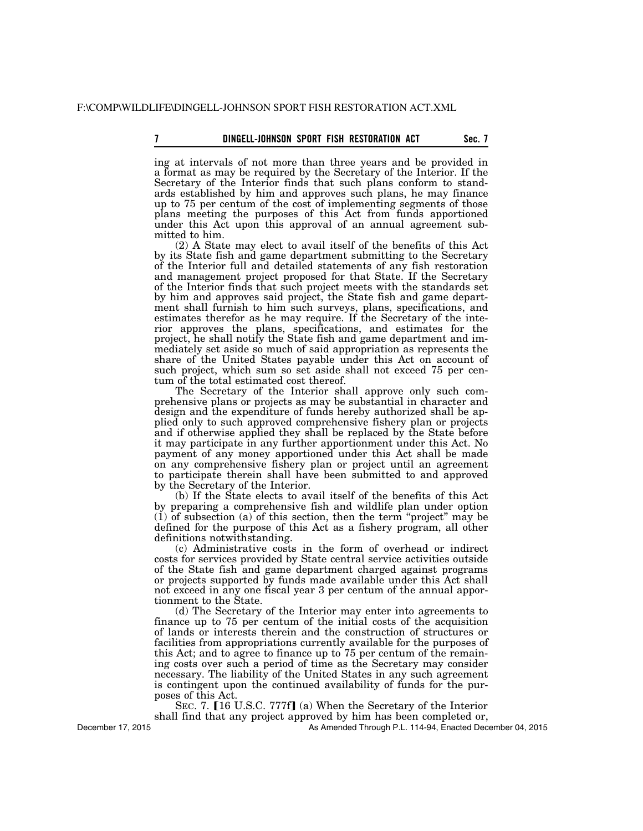## **7 Sec. 7 DINGELL-JOHNSON SPORT FISH RESTORATION ACT**

ing at intervals of not more than three years and be provided in a format as may be required by the Secretary of the Interior. If the Secretary of the Interior finds that such plans conform to standards established by him and approves such plans, he may finance up to 75 per centum of the cost of implementing segments of those plans meeting the purposes of this Act from funds apportioned under this Act upon this approval of an annual agreement submitted to him.

(2) A State may elect to avail itself of the benefits of this Act by its State fish and game department submitting to the Secretary of the Interior full and detailed statements of any fish restoration and management project proposed for that State. If the Secretary of the Interior finds that such project meets with the standards set by him and approves said project, the State fish and game department shall furnish to him such surveys, plans, specifications, and estimates therefor as he may require. If the Secretary of the interior approves the plans, specifications, and estimates for the project, he shall notify the State fish and game department and immediately set aside so much of said appropriation as represents the share of the United States payable under this Act on account of such project, which sum so set aside shall not exceed 75 per centum of the total estimated cost thereof.

The Secretary of the Interior shall approve only such comprehensive plans or projects as may be substantial in character and design and the expenditure of funds hereby authorized shall be applied only to such approved comprehensive fishery plan or projects and if otherwise applied they shall be replaced by the State before it may participate in any further apportionment under this Act. No payment of any money apportioned under this Act shall be made on any comprehensive fishery plan or project until an agreement to participate therein shall have been submitted to and approved by the Secretary of the Interior.

(b) If the State elects to avail itself of the benefits of this Act by preparing a comprehensive fish and wildlife plan under option (1) of subsection (a) of this section, then the term ''project'' may be defined for the purpose of this Act as a fishery program, all other definitions notwithstanding.

(c) Administrative costs in the form of overhead or indirect costs for services provided by State central service activities outside of the State fish and game department charged against programs or projects supported by funds made available under this Act shall not exceed in any one fiscal year 3 per centum of the annual apportionment to the State.

(d) The Secretary of the Interior may enter into agreements to finance up to 75 per centum of the initial costs of the acquisition of lands or interests therein and the construction of structures or facilities from appropriations currently available for the purposes of this Act; and to agree to finance up to 75 per centum of the remaining costs over such a period of time as the Secretary may consider necessary. The liability of the United States in any such agreement is contingent upon the continued availability of funds for the purposes of this Act.

SEC. 7. **[16 U.S.C. 777f]** (a) When the Secretary of the Interior shall find that any project approved by him has been completed or,

December 17, 2015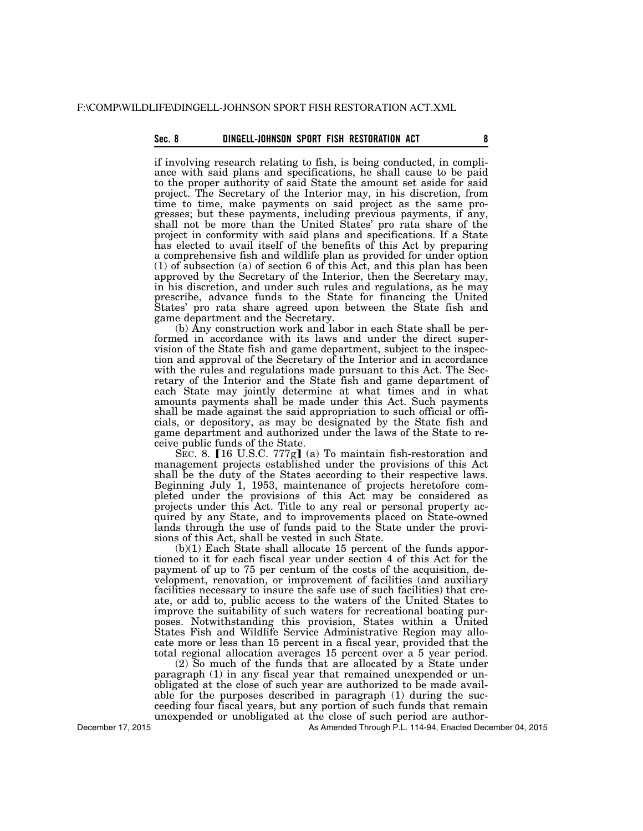## **Sec. 8 DINGELL-JOHNSON SPORT FISH RESTORATION ACT 8**

if involving research relating to fish, is being conducted, in compliance with said plans and specifications, he shall cause to be paid to the proper authority of said State the amount set aside for said project. The Secretary of the Interior may, in his discretion, from time to time, make payments on said project as the same progresses; but these payments, including previous payments, if any, shall not be more than the United States' pro rata share of the project in conformity with said plans and specifications. If a State has elected to avail itself of the benefits of this Act by preparing a comprehensive fish and wildlife plan as provided for under option (1) of subsection (a) of section 6 of this Act, and this plan has been approved by the Secretary of the Interior, then the Secretary may, in his discretion, and under such rules and regulations, as he may prescribe, advance funds to the State for financing the United States' pro rata share agreed upon between the State fish and game department and the Secretary.

(b) Any construction work and labor in each State shall be performed in accordance with its laws and under the direct supervision of the State fish and game department, subject to the inspection and approval of the Secretary of the Interior and in accordance with the rules and regulations made pursuant to this Act. The Secretary of the Interior and the State fish and game department of each State may jointly determine at what times and in what amounts payments shall be made under this Act. Such payments shall be made against the said appropriation to such official or officials, or depository, as may be designated by the State fish and game department and authorized under the laws of the State to receive public funds of the State.

SEC. 8.  $[16 \text{ U.S.C. } 777 \text{ g}]$  (a) To maintain fish-restoration and management projects established under the provisions of this Act shall be the duty of the States according to their respective laws. Beginning July 1, 1953, maintenance of projects heretofore completed under the provisions of this Act may be considered as projects under this Act. Title to any real or personal property acquired by any State, and to improvements placed on State-owned lands through the use of funds paid to the State under the provisions of this Act, shall be vested in such State.

(b)(1) Each State shall allocate 15 percent of the funds apportioned to it for each fiscal year under section 4 of this Act for the payment of up to 75 per centum of the costs of the acquisition, development, renovation, or improvement of facilities (and auxiliary facilities necessary to insure the safe use of such facilities) that create, or add to, public access to the waters of the United States to improve the suitability of such waters for recreational boating purposes. Notwithstanding this provision, States within a United States Fish and Wildlife Service Administrative Region may allocate more or less than 15 percent in a fiscal year, provided that the total regional allocation averages 15 percent over a 5 year period.

(2) So much of the funds that are allocated by a State under paragraph (1) in any fiscal year that remained unexpended or unobligated at the close of such year are authorized to be made available for the purposes described in paragraph (1) during the succeeding four fiscal years, but any portion of such funds that remain unexpended or unobligated at the close of such period are author-

December 17, 2015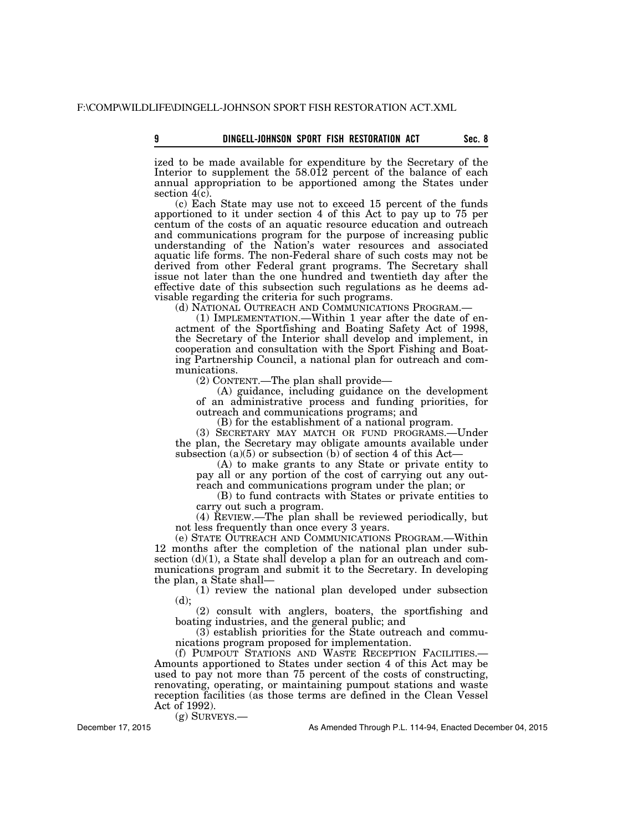ized to be made available for expenditure by the Secretary of the Interior to supplement the 58.012 percent of the balance of each annual appropriation to be apportioned among the States under section  $4(c)$ .

(c) Each State may use not to exceed 15 percent of the funds apportioned to it under section 4 of this Act to pay up to 75 per centum of the costs of an aquatic resource education and outreach and communications program for the purpose of increasing public understanding of the Nation's water resources and associated aquatic life forms. The non-Federal share of such costs may not be derived from other Federal grant programs. The Secretary shall issue not later than the one hundred and twentieth day after the effective date of this subsection such regulations as he deems advisable regarding the criteria for such programs.

 $(1)$  IMPLEMENTATION.—Within 1 year after the date of enactment of the Sportfishing and Boating Safety Act of 1998, the Secretary of the Interior shall develop and implement, in cooperation and consultation with the Sport Fishing and Boating Partnership Council, a national plan for outreach and communications.

(2) CONTENT.—The plan shall provide—

(A) guidance, including guidance on the development of an administrative process and funding priorities, for outreach and communications programs; and

(B) for the establishment of a national program.

(3) SECRETARY MAY MATCH OR FUND PROGRAMS.—Under the plan, the Secretary may obligate amounts available under subsection  $(a)(5)$  or subsection (b) of section 4 of this Act-

(A) to make grants to any State or private entity to pay all or any portion of the cost of carrying out any outreach and communications program under the plan; or

(B) to fund contracts with States or private entities to carry out such a program.

(4) REVIEW.—The plan shall be reviewed periodically, but not less frequently than once every 3 years.

(e) STATE OUTREACH AND COMMUNICATIONS PROGRAM.—Within 12 months after the completion of the national plan under subsection  $(d)(1)$ , a State shall develop a plan for an outreach and communications program and submit it to the Secretary. In developing the plan, a State shall—

(1) review the national plan developed under subsection (d);

(2) consult with anglers, boaters, the sportfishing and boating industries, and the general public; and

(3) establish priorities for the State outreach and communications program proposed for implementation.

(f) PUMPOUT STATIONS AND WASTE RECEPTION FACILITIES.— Amounts apportioned to States under section 4 of this Act may be used to pay not more than 75 percent of the costs of constructing, renovating, operating, or maintaining pumpout stations and waste reception facilities (as those terms are defined in the Clean Vessel Act of 1992).

(g) SURVEYS.—

December 17, 2015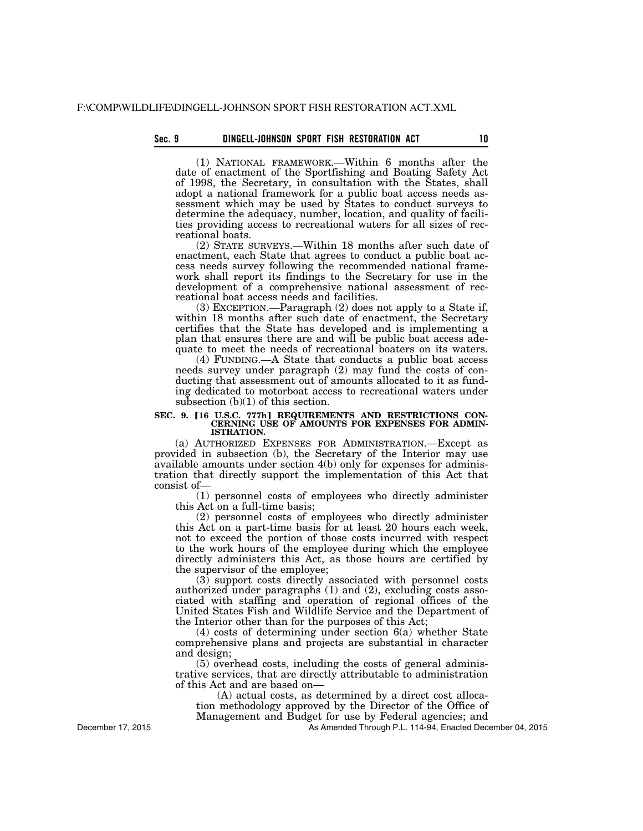## Sec. 9 **DINGELL-JOHNSON SPORT FISH RESTORATION ACT**

(1) NATIONAL FRAMEWORK.—Within 6 months after the date of enactment of the Sportfishing and Boating Safety Act of 1998, the Secretary, in consultation with the States, shall adopt a national framework for a public boat access needs assessment which may be used by States to conduct surveys to determine the adequacy, number, location, and quality of facilities providing access to recreational waters for all sizes of recreational boats.

(2) STATE SURVEYS.—Within 18 months after such date of enactment, each State that agrees to conduct a public boat access needs survey following the recommended national framework shall report its findings to the Secretary for use in the development of a comprehensive national assessment of recreational boat access needs and facilities.

(3) EXCEPTION.—Paragraph (2) does not apply to a State if, within 18 months after such date of enactment, the Secretary certifies that the State has developed and is implementing a plan that ensures there are and will be public boat access adequate to meet the needs of recreational boaters on its waters.

(4) FUNDING.—A State that conducts a public boat access needs survey under paragraph (2) may fund the costs of conducting that assessment out of amounts allocated to it as funding dedicated to motorboat access to recreational waters under subsection (b)(1) of this section.

#### SEC. 9. [16 U.S.C. 777h] REQUIREMENTS AND RESTRICTIONS CON-**CERNING USE OF AMOUNTS FOR EXPENSES FOR ADMIN-ISTRATION.**

(a) AUTHORIZED EXPENSES FOR ADMINISTRATION.—Except as provided in subsection (b), the Secretary of the Interior may use available amounts under section 4(b) only for expenses for administration that directly support the implementation of this Act that consist of—

(1) personnel costs of employees who directly administer this Act on a full-time basis;

(2) personnel costs of employees who directly administer this Act on a part-time basis for at least 20 hours each week, not to exceed the portion of those costs incurred with respect to the work hours of the employee during which the employee directly administers this Act, as those hours are certified by the supervisor of the employee;

(3) support costs directly associated with personnel costs authorized under paragraphs (1) and (2), excluding costs associated with staffing and operation of regional offices of the United States Fish and Wildlife Service and the Department of the Interior other than for the purposes of this Act;

(4) costs of determining under section 6(a) whether State comprehensive plans and projects are substantial in character and design;

(5) overhead costs, including the costs of general administrative services, that are directly attributable to administration of this Act and are based on—

(A) actual costs, as determined by a direct cost allocation methodology approved by the Director of the Office of

Management and Budget for use by Federal agencies; and

As Amended Through P.L. 114-94, Enacted December 04, 2015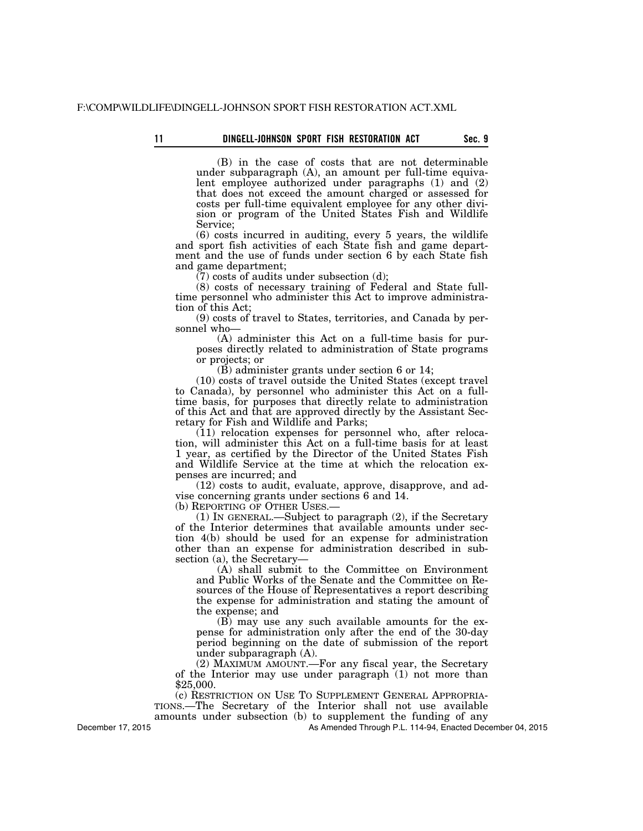## **11 Sec. 9 DINGELL-JOHNSON SPORT FISH RESTORATION ACT**

(B) in the case of costs that are not determinable under subparagraph (A), an amount per full-time equivalent employee authorized under paragraphs (1) and (2) that does not exceed the amount charged or assessed for costs per full-time equivalent employee for any other division or program of the United States Fish and Wildlife Service;

(6) costs incurred in auditing, every 5 years, the wildlife and sport fish activities of each State fish and game department and the use of funds under section 6 by each State fish and game department;

 $(7)$  costs of audits under subsection  $(d)$ ;

(8) costs of necessary training of Federal and State fulltime personnel who administer this Act to improve administration of this Act;

(9) costs of travel to States, territories, and Canada by personnel who—

(A) administer this Act on a full-time basis for purposes directly related to administration of State programs or projects; or

(B) administer grants under section 6 or 14;

(10) costs of travel outside the United States (except travel to Canada), by personnel who administer this Act on a fulltime basis, for purposes that directly relate to administration of this Act and that are approved directly by the Assistant Secretary for Fish and Wildlife and Parks;

(11) relocation expenses for personnel who, after relocation, will administer this Act on a full-time basis for at least 1 year, as certified by the Director of the United States Fish and Wildlife Service at the time at which the relocation expenses are incurred; and

(12) costs to audit, evaluate, approve, disapprove, and advise concerning grants under sections 6 and 14.

(b) REPORTING OF OTHER USES.—

(1) IN GENERAL.—Subject to paragraph (2), if the Secretary of the Interior determines that available amounts under section 4(b) should be used for an expense for administration other than an expense for administration described in subsection (a), the Secretary—

(A) shall submit to the Committee on Environment and Public Works of the Senate and the Committee on Resources of the House of Representatives a report describing the expense for administration and stating the amount of the expense; and

(B) may use any such available amounts for the expense for administration only after the end of the 30-day period beginning on the date of submission of the report under subparagraph (A).

(2) MAXIMUM AMOUNT.—For any fiscal year, the Secretary of the Interior may use under paragraph (1) not more than \$25,000.<br>(c) RESTRICTION ON USE TO SUPPLEMENT GENERAL APPROPRIA-

TIONS.—The Secretary of the Interior shall not use available

amounts under subsection (b) to supplement the funding of any

December 17, 2015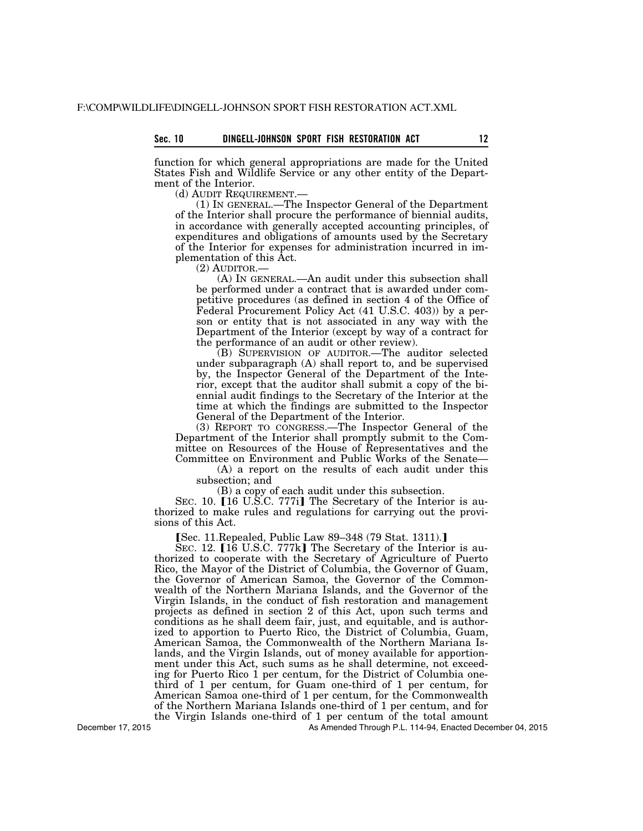function for which general appropriations are made for the United States Fish and Wildlife Service or any other entity of the Department of the Interior.

(d) AUDIT REQUIREMENT.—

(1) IN GENERAL.—The Inspector General of the Department of the Interior shall procure the performance of biennial audits, in accordance with generally accepted accounting principles, of expenditures and obligations of amounts used by the Secretary of the Interior for expenses for administration incurred in implementation of this Act.

(2) AUDITOR.—

(A) IN GENERAL.—An audit under this subsection shall be performed under a contract that is awarded under competitive procedures (as defined in section 4 of the Office of Federal Procurement Policy Act (41 U.S.C. 403)) by a person or entity that is not associated in any way with the Department of the Interior (except by way of a contract for the performance of an audit or other review).

(B) SUPERVISION OF AUDITOR.—The auditor selected under subparagraph (A) shall report to, and be supervised by, the Inspector General of the Department of the Interior, except that the auditor shall submit a copy of the biennial audit findings to the Secretary of the Interior at the time at which the findings are submitted to the Inspector General of the Department of the Interior.

(3) REPORT TO CONGRESS.—The Inspector General of the Department of the Interior shall promptly submit to the Committee on Resources of the House of Representatives and the Committee on Environment and Public Works of the Senate—

(A) a report on the results of each audit under this subsection; and

(B) a copy of each audit under this subsection.

SEC. 10.  $[16 \text{ U.S.C. } 777i]$  The Secretary of the Interior is authorized to make rules and regulations for carrying out the provisions of this Act.

 $Sec. 11. Repealed, Public Law 89–348 (79 Stat. 1311).$ 

SEC. 12. [16 U.S.C. 777k] The Secretary of the Interior is authorized to cooperate with the Secretary of Agriculture of Puerto Rico, the Mayor of the District of Columbia, the Governor of Guam, the Governor of American Samoa, the Governor of the Commonwealth of the Northern Mariana Islands, and the Governor of the Virgin Islands, in the conduct of fish restoration and management projects as defined in section 2 of this Act, upon such terms and conditions as he shall deem fair, just, and equitable, and is authorized to apportion to Puerto Rico, the District of Columbia, Guam, American Samoa, the Commonwealth of the Northern Mariana Islands, and the Virgin Islands, out of money available for apportionment under this Act, such sums as he shall determine, not exceeding for Puerto Rico  $\tilde{1}$  per centum, for the District of Columbia onethird of 1 per centum, for Guam one-third of 1 per centum, for American Samoa one-third of 1 per centum, for the Commonwealth of the Northern Mariana Islands one-third of 1 per centum, and for the Virgin Islands one-third of 1 per centum of the total amount

December 17, 2015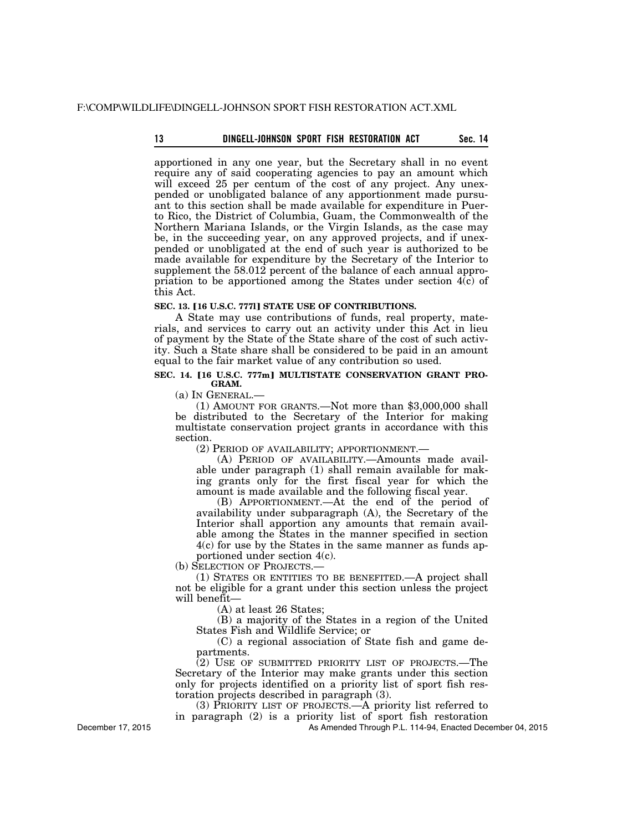## 13 **DINGELL-JOHNSON SPORT FISH RESTORATION ACT** Sec. 14

apportioned in any one year, but the Secretary shall in no event require any of said cooperating agencies to pay an amount which will exceed 25 per centum of the cost of any project. Any unexpended or unobligated balance of any apportionment made pursuant to this section shall be made available for expenditure in Puerto Rico, the District of Columbia, Guam, the Commonwealth of the Northern Mariana Islands, or the Virgin Islands, as the case may be, in the succeeding year, on any approved projects, and if unexpended or unobligated at the end of such year is authorized to be made available for expenditure by the Secretary of the Interior to supplement the 58.012 percent of the balance of each annual appropriation to be apportioned among the States under section  $4\overline{(c)}$  of this Act.

## **SEC. 13. [16 U.S.C. 777l] STATE USE OF CONTRIBUTIONS.**

A State may use contributions of funds, real property, materials, and services to carry out an activity under this Act in lieu of payment by the State of the State share of the cost of such activity. Such a State share shall be considered to be paid in an amount equal to the fair market value of any contribution so used.

## SEC. 14. [16 U.S.C. 777m] MULTISTATE CONSERVATION GRANT PRO-**GRAM.**

(a) IN GENERAL.—

(1) AMOUNT FOR GRANTS.—Not more than \$3,000,000 shall be distributed to the Secretary of the Interior for making multistate conservation project grants in accordance with this section.

(2) PERIOD OF AVAILABILITY; APPORTIONMENT.—

(A) PERIOD OF AVAILABILITY.—Amounts made available under paragraph (1) shall remain available for making grants only for the first fiscal year for which the amount is made available and the following fiscal year.

(B) APPORTIONMENT.—At the end of the period of availability under subparagraph (A), the Secretary of the Interior shall apportion any amounts that remain available among the States in the manner specified in section 4(c) for use by the States in the same manner as funds apportioned under section 4(c).

(b) SELECTION OF PROJECTS.—

(1) STATES OR ENTITIES TO BE BENEFITED.—A project shall not be eligible for a grant under this section unless the project will benefit—

(A) at least 26 States;

(B) a majority of the States in a region of the United States Fish and Wildlife Service; or

(C) a regional association of State fish and game departments.

(2) USE OF SUBMITTED PRIORITY LIST OF PROJECTS.—The Secretary of the Interior may make grants under this section only for projects identified on a priority list of sport fish restoration projects described in paragraph (3).

(3) PRIORITY LIST OF PROJECTS.—A priority list referred to in paragraph (2) is a priority list of sport fish restoration

As Amended Through P.L. 114-94, Enacted December 04, 2015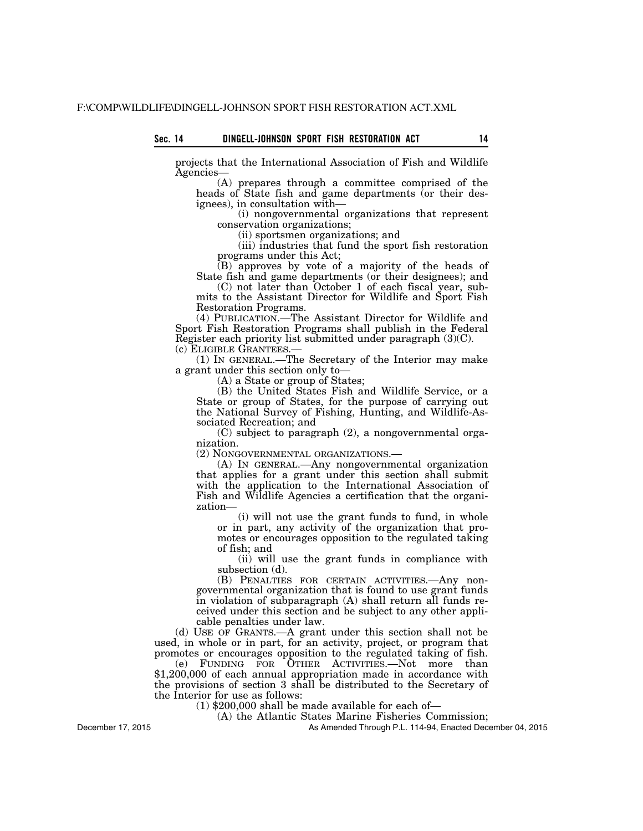projects that the International Association of Fish and Wildlife Agencies—

(A) prepares through a committee comprised of the heads of State fish and game departments (or their designees), in consultation with—

(i) nongovernmental organizations that represent conservation organizations;

(ii) sportsmen organizations; and

(iii) industries that fund the sport fish restoration programs under this Act;

(B) approves by vote of a majority of the heads of State fish and game departments (or their designees); and (C) not later than October 1 of each fiscal year, sub-

mits to the Assistant Director for Wildlife and Sport Fish Restoration Programs.

(4) PUBLICATION.—The Assistant Director for Wildlife and Sport Fish Restoration Programs shall publish in the Federal Register each priority list submitted under paragraph (3)(C).

(c) ELIGIBLE GRANTEES.— (1) IN GENERAL.—The Secretary of the Interior may make a grant under this section only to—

(A) a State or group of States;

(B) the United States Fish and Wildlife Service, or a State or group of States, for the purpose of carrying out the National Survey of Fishing, Hunting, and Wildlife-Associated Recreation; and

(C) subject to paragraph (2), a nongovernmental organization.

(2) NONGOVERNMENTAL ORGANIZATIONS.—

(A) IN GENERAL.—Any nongovernmental organization that applies for a grant under this section shall submit with the application to the International Association of Fish and Wildlife Agencies a certification that the organization—

(i) will not use the grant funds to fund, in whole or in part, any activity of the organization that promotes or encourages opposition to the regulated taking of fish; and

(ii) will use the grant funds in compliance with subsection (d).

(B) PENALTIES FOR CERTAIN ACTIVITIES.—Any nongovernmental organization that is found to use grant funds in violation of subparagraph (A) shall return all funds received under this section and be subject to any other applicable penalties under law.

(d) USE OF GRANTS.—A grant under this section shall not be used, in whole or in part, for an activity, project, or program that promotes or encourages opposition to the regulated taking of fish.

(e) FUNDING FOR OTHER ACTIVITIES.-Not more than \$1,200,000 of each annual appropriation made in accordance with the provisions of section 3 shall be distributed to the Secretary of the Interior for use as follows:

 $(1)$  \$200,000 shall be made available for each of-

(A) the Atlantic States Marine Fisheries Commission;

As Amended Through P.L. 114-94, Enacted December 04, 2015